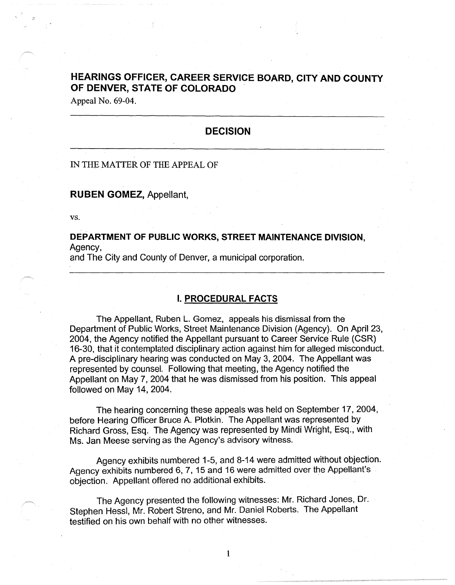# **HEARINGS OFFICER, CAREER SERVICE BOARD, CITY AND COUNTY OF DENVER, STATE OF COLORADO**

Appeal No. 69-04.

# **DECISION**

### IN THE MATTER OF THE APPEAL OF

#### **RUBEN GOMEZ,** Appellant,

vs.

### **DEPARTMENT OF PUBLIC WORKS, STREET MAINTENANCE DIVISION,**  Agency,

and The City and County of Denver, a municipal corporation.

### **I. PROCEDURAL FACTS**

The Appellant, Ruben L. Gomez, appeals his dismissal from the Department of Public Works, Street Maintenance Division (Agency). On April 23, 2004, the Agency notified the Appellant pursuant to Career Service Rule (CSR) 16-30, that it contemplated disciplinary action against him for alleged misconduct. A pre-disciplinary hearing was conducted on May 3, 2004. The Appellant was represented by counsel. Following that meeting, the Agency notified the Appellant on May 7, 2004 that he was dismissed from his position. This appeal followed on May 14, 2004.

The hearing concerning these appeals was held on September 17, 2004, before Hearing Officer Bruce A. Plotkin. The Appellant was represented by Richard Gross, Esq. The Agency was represented by Mindi Wright, Esq., with Ms. Jan Meese serving as the Agency's advisory witness.

Agency exhibits numbered 1-5, and 8-14 were admitted without objection. Agency exhibits numbered 6, 7, 15 and 16 were admitted over the Appellant's objection. Appellant offered no additional exhibits.

The Agency presented the following witnesses: Mr. Richard Jones, Dr. Stephen Hessl, Mr. Robert Streno, and Mr. Daniel Roberts. The Appellant testified on his own behalf with no other witnesses.

1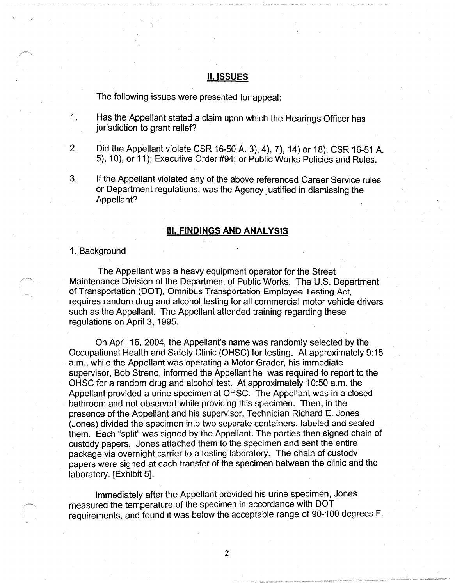#### **II. ISSUES**

The following issues were presented for appeal:

- 1. Has the Appellant stated a claim upon which the Hearings Officer has jurisdiction to grant relief?
- 2. Did the Appellant violate CSR 16-50 A. 3), 4), 7), 14) or 18); CSR 16-51 A. 5), 10), or 11 ); Executive Order #94; or Public Works Policies and Rules.
- 3. If the Appellant violated any of the above referenced Career Service rules or Department regulations, was the Agency justified in dismissing the Appellant?

#### Ill. **FINDINGS AND ANALYSIS**

#### 1. Background

The Appellant was a heavy equipment operator for the Street Maintenance Division of the Department of Public Works. The U.S. Department of Transportation (DOT), Omnibus Transportation Employee Testing Act, requires random drug and alcohol testing for all commercial motor vehicle drivers such as the Appellant. The Appellant attended training regarding these regulations on April 3, 1995.

On April 16, 2004, the Appellant's name was randomly selected by the Occupational Health and Safety Clinic (OHSC) for testing. At approximately 9:15 a.m., while the Appellant was operating a Motor Grader, his immediate supervisor, Bob Streno, informed the Appellant he was required to report to the OHSC for a random drug and alcohol test. At approximately 10:50 a.m. the Appellant provided a urine specimen at OHSC. The Appellant was in a closed bathroom and not observed while providing this specimen. Then, in the presence of the Appellant and his supervisor, Technician Richard E. Jones (Jones) divided the specimen into two separate containers, labeled and sealed them. Each "split" was signed by the Appellant. The parties then signed chain of custody papers. Jones attached them to the specimen and sent the entire package via overnight carrier to a testing laboratory. The chain of custody papers were signed at each transfer of the specimen between the clinic and the laboratory. [Exhibit 5].

Immediately after the Appellant provided his urine specimen; Jones measured the temperature of the specimen in accordance with DOT requirements, and found it was below the acceptable range of 90-100 degrees F.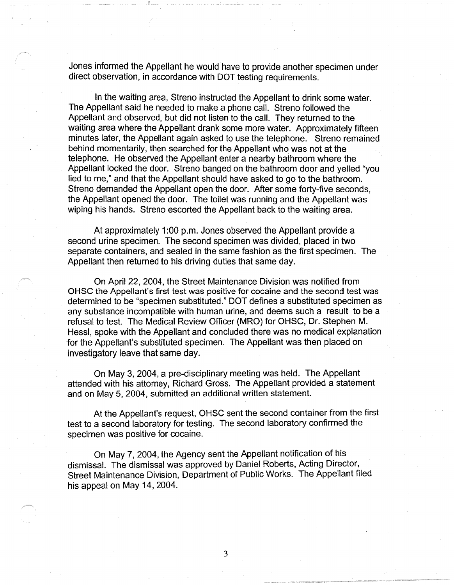Jones informed the Appellant he would have to provide another specimen under direct observation, in accordance with DOT testing requirements.

In the waiting area, Streno instructed the Appellant to drink some water. The Appellant said he needed to make a phone call. Streno followed the Appellant and observed, but did not listen to the call. They returned to the waiting area where the Appellant drank some more water. Approximately fifteen minutes later, the Appellant again asked to use the telephone. Streno remained behind momentarily, then searched for the Appellant who was not at the telephone. He observed the Appellant enter a nearby bathroom where the Appellant locked the door. Streno banged on the bathroom door and yelled "you lied to me," and that the Appellant should have asked to go to the bathroom. Streno demanded the Appellant open the door. After some forty-five seconds, the Appellant opened the door. The toilet was running and the Appellant was wiping his hands. Streno escorted the Appellant back to the waiting area.

At approximately 1:00 p.m. Jones observed the Appellant provide a second urine specimen. The second specimen was divided, placed in two separate containers, and sealed in the same fashion as the first specimen. The Appellant then returned to his driving duties that same day.

On April 22, 2004, the Street Maintenance Division was notified from OHSC the Appellant's first test was positive for cocaine and the second test was determined to be "specimen substituted." DOT defines a substituted specimen as any substance incompatible with human urine, and deems such a result to be a refusal to test. The Medical Review Officer (MRO) for OHSC, Dr. Stephen M. Hessl, spoke with the Appellant and concluded there was no medical explanation for the Appellant's substituted specimen. The Appellant was then placed on investigatory leave that same day.

On May 3, 2004, a pre-disciplinary meeting was held. The Appellant attended with his attorney, Richard Gross. The Appellant provided a statement and on May 5, 2004, submitted an additional written statement.

At the Appellant's request, OHSC sent the second container from the first test to a second laboratory for testing. The second laboratory confirmed the specimen was positive for cocaine.

On May 7, 2004, the Agency sent the Appellant notification of his dismissal. The dismissal was approved by Daniel Roberts, Acting Director, Street Maintenance Division, Department of Public Works. The Appellant filed his appeal on May 14, 2004.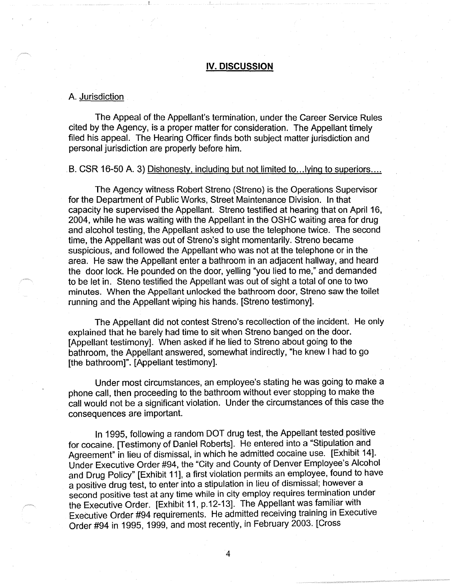### **IV. DISCUSSION**

#### A. Jurisdiction

The Appeal of the Appellant's termination, under the Career Service Rules cited by the Agency, is a proper matter for consideration. The Appellant timely filed his appeal. The Hearing Officer finds both subject matter jurisdiction and personal jurisdiction are properly before him.

#### B. CSR 16-50 A. 3) Dishonesty, including but not limited to... lying to superiors....

The Agency witness Robert Streno (Streno) is the Operations Supervisor for the Department of Public Works, Street Maintenance Division. In that capacity he supervised the Appellant. Streno testified at hearing that on April 16, 2004, while he was waiting with the Appellant in the OSHC waiting area for drug and alcohol testing, the Appellant asked to use the telephone twice. The second time, the Appellant was out of Streno's sight momentarily. Streno became suspicious, and followed the Appellant who was not at the telephone or in the area. He saw the Appellant enter a bathroom in an adjacent hallway, and heard the door lock. He pounded on the door, yelling "you lied to me," and demanded to be let in. Steno testified the Appellant was out of sight a total of one to two minutes. When the Appellant unlocked the bathroom door, Streno saw the toilet running and the Appellant wiping his hands. [Streno testimony].

The Appellant did not contest Streno's recollection of the incident. He only explained that he barely had time to sit when Streno banged on the door. [Appellant testimony]. When asked if he lied to Streno about going to the bathroom, the Appellant answered, somewhat indirectly, "he knew I had to go [the bathroom]". [Appellant testimony].

Under most circumstances, an employee's stating he was going to make a phone call, then proceeding to the bathroom without ever stopping to make the call would not be a significant violation. Under the circumstances of this case the consequences are important.

In 1995, following a random DOT drug test, the Appellant tested positive for cocaine. [Testimony of Daniel Roberts]. He entered into a "Stipulation and Agreement" in lieu of dismissal, in which he admitted cocaine use. [Exhibit 14]. Under Executive Order #94, the "City and County of Denver Employee's Alcohol and Drug Policy" [Exhibit 11], a first violation permits an employee, found to have a positive drug test, to enter into a stipulation in lieu of dismissal; however a second positive test at any time while in city employ requires termination under the Executive Order. [Exhibit 11, p.12-13]. The Appellant was familiar with Executive Order #94 requirements. He admitted receiving training in Executive Order #94 in 1995, 1999, and most recently, in February 2003. [Cross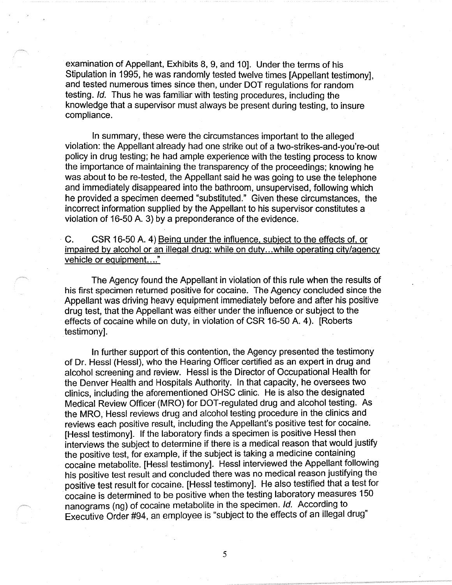examination of Appellant, Exhibits 8, 9, and 10]. Under the terms of his Stipulation in 1995, he was randomly tested twelve times [Appellant testimony], and tested numerous times since then, under DOT regulations for random testing. Id. Thus he was familiar with testing procedures, including the knowledge that a supervisor must always be present during testing, to insure compliance.

In summary, these were the circumstances important to the alleged violation: the Appellant already had one strike out of a two-strikes-and-you're-out policy in drug testing; he had ample experience with the testing process to know the importance of maintaining the transparency of the proceedings; knowing he was about to be re-tested, the Appellant said he was going to use the telephone and immediately disappeared into the bathroom, unsupervised, following which he provided a specimen deemed "substituted." Given these circumstances, the incorrect information supplied by the Appellant to his supervisor constitutes a violation of 16-50 A. 3) by a preponderance of the evidence.

C. CSR 16-50 A. 4) Being under the influence, subject to the effects of, or impaired by alcohol or an illegal drug: while on duty ... while operating city/agency vehicle or equipment...."

The Agency found the Appellant in violation of this rule when the results of his first specimen returned positive for cocaine. The Agency concluded since the Appellant was driving heavy equipment immediately before and after his positive drug test, that the Appellant was either under the influence or subject to the effects of cocaine while on duty, in violation of CSR 16-50 A. 4 ). [Roberts testimony].

In further support of this contention, the Agency presented the testimony of Dr. Hessl (Hessl), who the Hearing Officer certified as an expert in drug and alcohol screening and review. Hessl is the Director of Occupational Health for the Denver Health and Hospitals Authority. In that capacity, he oversees two clinics, including the aforementioned OHSC clinic. He is also the designated Medical Review Officer (MRO) for DOT-regulated drug and alcohol testing. As the MRO, Hessl reviews drug and alcohol testing procedure in the clinics and reviews each positive result, including the Appellant's positive test for cocaine. [Hessl testimony]. If the laboratory finds a specimen is positive Hessl then interviews the subject to determine if there is a medical reason that would justify the positive test, for example, if the subject is taking a medicine containing cocaine metabolite. [Hessl testimony]. Hessl interviewed the Appellant following his positive test result and concluded there was no medical reason justifying the positive test result for cocaine. [Hessl testimony]. He also testified that a test for · cocaine is determined to be positive when the testing laboratory measures 150 nanograms (ng) of cocaine metabolite in the specimen. Id. According to Executive Order #94, an employee is "subject to the effects of an illegal drug"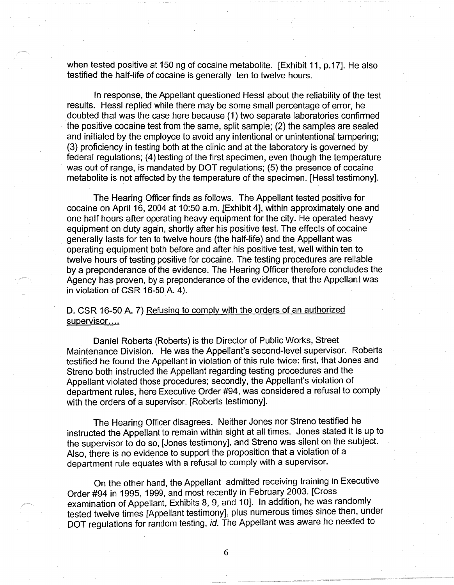when tested positive at 150 ng of cocaine metabolite. [Exhibit 11, p.17]. He also testified the half-life of cocaine is generally ten to twelve hours.

In response, the Appellant questioned Hessl about the reliability of the test results. Hessl replied while there may be some small percentage of error, he doubted that was the case here because (1) two separate laboratories confirmed the positive cocaine test from the same, split sample; (2) the samples are sealed and initialed by the employee to avoid any intentional or unintentional tampering; (3) proficiency in testing both at the clinic and at the laboratory is governed by federal regulations; (4) testing of the first specimen, even though the temperature was out of range, is mandated by DOT regulations; (5) the presence of cocaine metabolite is not affected by the temperature of the specimen. [Hessl testimony].

The Hearing Officer finds as follows. The Appellant tested positive for cocaine on April 16, 2004 at 10:50 a.m. [Exhibit 4], within approximately one and one half hours after operating heavy equipment for the city. He operated heavy equipment on duty again, shortly after his positive test. The effects of cocaine generally lasts for ten to twelve hours (the half-life) and the Appellant was operating equipment both before and after his positive test, well within ten to twelve hours of testing positive for cocaine. The testing procedures are reliable by a preponderance of the evidence. The Hearing Officer therefore concludes the Agency has proven, by a preponderance of the evidence, that the Appellant was in violation of CSR 16-50 A. 4).

# D. CSR 16-50 A. 7) Refusing to comply with the orders of an authorized supervisor....

Daniel Roberts (Roberts) is the Director of Public Works, Street Maintenance Division. He was the Appellant's second-level supervisor. Roberts testified he found the Appellant in violation of this rule twice: first, that Jones and Streno both instructed the Appellant regarding testing procedures and the Appellant violated those procedures; secondly, the Appellant's violation of department rules, here Executive Order #94, was considered a refusal to comply with the orders of a supervisor. [Roberts testimony].

The Hearing Officer disagrees. Neither Jones nor Streno testified he instructed the Appellant to remain within sight at all times. Jones stated it is up to the supervisor to do so, [Jones testimony], and Streno was silent on the subject. Also, there is no evidence to support the proposition that a violation of a department rule equates with a refusal to comply with a supervisor.

On the other hand, the Appellant admitted receiving training in Executive Order #94 in 1995, 1999, and most recently in February 2003. [Cross examination of Appellant, Exhibits 8, 9, and 10]. In addition, he was randomly tested twelve times [Appellant testimony], plus numerous times since then, under DOT regulations for random testing, id. The Appellant was aware he needed to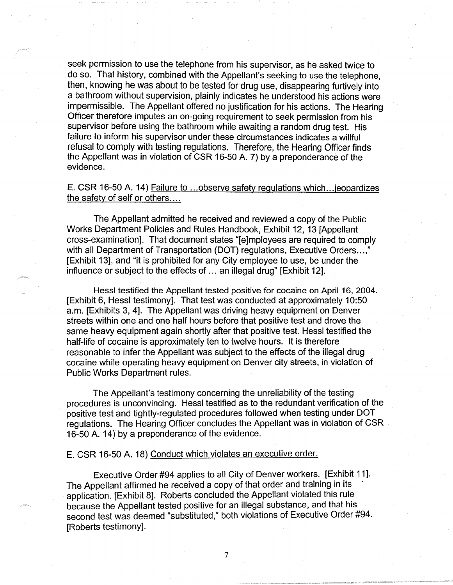seek permission to use the telephone from his supervisor, as he asked twice to do so. That history, combined with the Appellant's seeking to use the telephone, then, knowing he was about to be tested for drug use, disappearing furtively into a bathroom without supervision, plainly indicates he understood his actions were impermissible. The Appellant offered no justification for his actions. The Hearing Officer therefore imputes an on-going requirement to seek permission from his supervisor before using the bathroom while awaiting a random drug test. His failure to inform his supervisor under these circumstances indicates a willful refusal to comply with testing regulations. Therefore, the Hearing Officer finds the Appellant was in violation of CSR 16-50 A. 7) by a preponderance of the evidence.

# E. CSR 16-50 A. 14) Failure to ... observe safety regulations which ... jeopardizes the safety of self or others....

The Appellant admitted he received and reviewed a copy of the Public Works Department Policies and Rules Handbook, Exhibit 12, 13 [Appellant cross-examination]. That document states "[e]mployees are required to comply with all Department of Transportation (DOT) regulations, Executive Orders...," [Exhibit 13], and "it is prohibited for any City employee to use, be under the influence or subject to the effects of ... an illegal drug" [Exhibit 12].

Hessl testified the Appellant tested positive for cocaine on April 16, 2004. [Exhibit 6, Hessl testimony]. That test was conducted at approximately 10:50 a.m. [Exhibits 3, 4]. The Appellant was driving heavy equipment on Denver streets within one and one half hours before that positive test and drove the same heavy equipment again shortly after that positive test. Hessl testified the half-life of cocaine is approximately ten to twelve hours. It is therefore reasonable to infer the Appellant was subject to the effects of the illegal drug cocaine while operating heavy equipment on Denver city streets, in violation of Public Works Department rules.

The Appellant's testimony concerning the unreliability of the testing procedures is unconvincing. Hessl testified as to the redundant verification of the positive test and tightly-regulated procedures followed when testing under DOT regulations. The Hearing Officer concludes the Appellant was in violation of CSR 16-50 A. 14) by a preponderance of the evidence.

#### E. CSR 16-50 A. 18) Conduct which violates an executive order.

Executive Order #94 applies to all City of Denver workers. [Exhibit 11]. The Appellant affirmed he received a copy of that order and training in its application. [Exhibit 8]. Roberts concluded the Appellant violated this rule because the Appellant tested positive for an illegal substance, and that his second test was deemed "substituted," both violations of Executive Order #94. [Roberts testimony].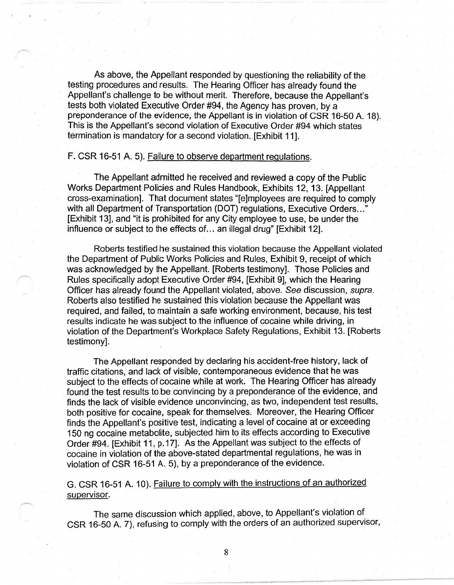As above, the Appellant responded by questioning the reliability of the testing procedures and results. The Hearing Officer has already found the Appellant's challenge to be without merit. Therefore, because the Appellant's tests both violated Executive Order #94, the Agency has proven, by a preponderance of the evidence, the Appellant is in violation of CSR 16-50 A. 18). This is the Appellant's second violation of Executive Order #94 which states termination is mandatory for a second violation .. [Exhibit 11].

#### F. CSR 16-51 A. 5). Failure to observe department regulations.

The Appellant admitted he received and reviewed a copy of the Public Works Department Policies and Rules Handbook, Exhibits 12, 13. [Appellant cross-examination]. That document states "[e]mployees are required to comply with all Department of Transportation (DOT) regulations, Executive Orders..." [Exhibit 13], and "it is prohibited for any City employee to use, be under the influence or subject to the effects of ... an illegal drug" [Exhibit 12].

Roberts testified he sustained this violation because the Appellant violated the Department of Public Works Policies and Rules, Exhibit 9, receipt of which was acknowledged by the Appellant. [Roberts testimony]. Those Policies and Rules specifically adopt Executive Order #94, [Exhibit 9], which the Hearing Officer has already found the Appellant violated, above. See discussion, supra. Roberts also testified he sustained this violation because the Appellant was required, and failed, to maintain a safe working environment, because, his test results indicate he was subject to the influence of cocaine while driving, in violation of the Department's Workplace Safety Regulations, Exhibit 13. [Roberts testimony].

The Appellant responded by declaring his accident-free history, lack of traffic citations, and lack of visible, contemporaneous evidence that he was subject to the effects of cocaine while at work. The Hearing Officer has already found the test results to be convincing by a preponderance of the evidence, and finds the lack of visible evidence unconvincing, as two, independent test results, both positive for cocaine, speak for themselves. Moreover, the Hearing Officer finds the Appellant's positive test, indicating a level of cocaine at or exceeding 150 ng cocaine metabolite, subjected him to its effects according to Executive Order #94. [Exhibit 11, p. 17]. As the Appellant was subject to the effects of cocaine in violation of the above-stated departmental regulations, he was in violation of CSR 16-51 A. 5), by a preponderance of the evidence.

G. CSR 16-51 A. 10). Failure to comply with the instructions of an authorized supervisor.

The same discussion which applied, above, to Appellant's violation of CSR 16-50 A. 7), refusing to comply with the orders of an authorized supervisor,